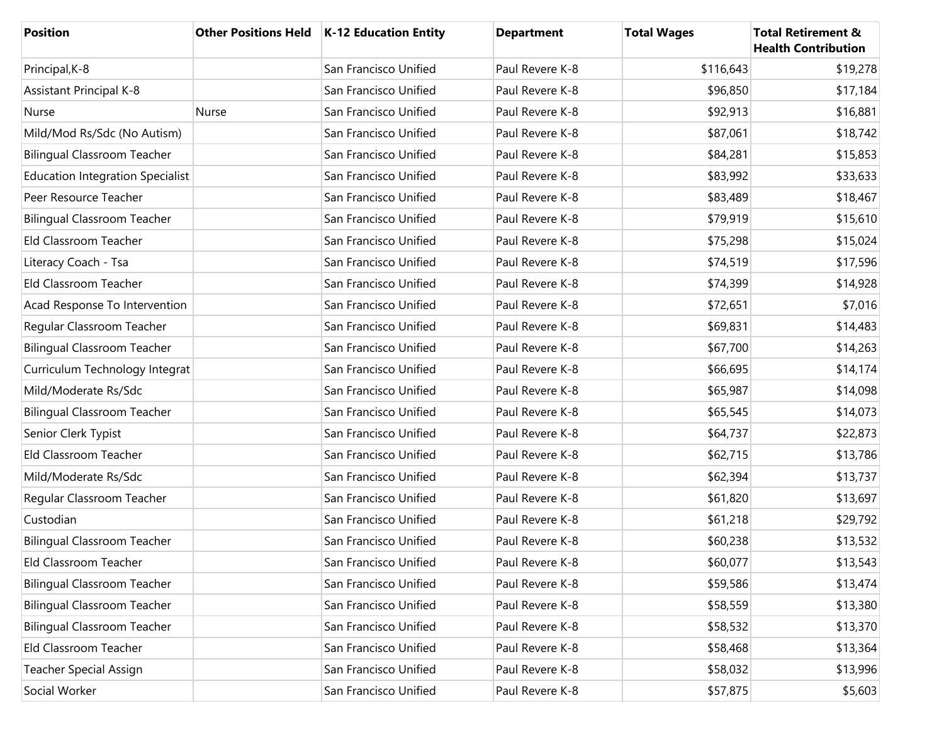| <b>Position</b>                         |       | Other Positions Held   K-12 Education Entity | <b>Department</b> | <b>Total Wages</b> | <b>Total Retirement &amp;</b><br><b>Health Contribution</b> |
|-----------------------------------------|-------|----------------------------------------------|-------------------|--------------------|-------------------------------------------------------------|
| Principal, K-8                          |       | San Francisco Unified                        | Paul Revere K-8   | \$116,643          | \$19,278                                                    |
| <b>Assistant Principal K-8</b>          |       | San Francisco Unified                        | Paul Revere K-8   | \$96,850           | \$17,184                                                    |
| Nurse                                   | Nurse | San Francisco Unified                        | Paul Revere K-8   | \$92,913           | \$16,881                                                    |
| Mild/Mod Rs/Sdc (No Autism)             |       | San Francisco Unified                        | Paul Revere K-8   | \$87,061           | \$18,742                                                    |
| <b>Bilingual Classroom Teacher</b>      |       | San Francisco Unified                        | Paul Revere K-8   | \$84,281           | \$15,853                                                    |
| <b>Education Integration Specialist</b> |       | San Francisco Unified                        | Paul Revere K-8   | \$83,992           | \$33,633                                                    |
| Peer Resource Teacher                   |       | San Francisco Unified                        | Paul Revere K-8   | \$83,489           | \$18,467                                                    |
| <b>Bilingual Classroom Teacher</b>      |       | San Francisco Unified                        | Paul Revere K-8   | \$79,919           | \$15,610                                                    |
| Eld Classroom Teacher                   |       | San Francisco Unified                        | Paul Revere K-8   | \$75,298           | \$15,024                                                    |
| Literacy Coach - Tsa                    |       | San Francisco Unified                        | Paul Revere K-8   | \$74,519           | \$17,596                                                    |
| Eld Classroom Teacher                   |       | San Francisco Unified                        | Paul Revere K-8   | \$74,399           | \$14,928                                                    |
| Acad Response To Intervention           |       | San Francisco Unified                        | Paul Revere K-8   | \$72,651           | \$7,016                                                     |
| Regular Classroom Teacher               |       | San Francisco Unified                        | Paul Revere K-8   | \$69,831           | \$14,483                                                    |
| <b>Bilingual Classroom Teacher</b>      |       | San Francisco Unified                        | Paul Revere K-8   | \$67,700           | \$14,263                                                    |
| Curriculum Technology Integrat          |       | San Francisco Unified                        | Paul Revere K-8   | \$66,695           | \$14,174                                                    |
| Mild/Moderate Rs/Sdc                    |       | San Francisco Unified                        | Paul Revere K-8   | \$65,987           | \$14,098                                                    |
| <b>Bilingual Classroom Teacher</b>      |       | San Francisco Unified                        | Paul Revere K-8   | \$65,545           | \$14,073                                                    |
| Senior Clerk Typist                     |       | San Francisco Unified                        | Paul Revere K-8   | \$64,737           | \$22,873                                                    |
| Eld Classroom Teacher                   |       | San Francisco Unified                        | Paul Revere K-8   | \$62,715           | \$13,786                                                    |
| Mild/Moderate Rs/Sdc                    |       | San Francisco Unified                        | Paul Revere K-8   | \$62,394           | \$13,737                                                    |
| Regular Classroom Teacher               |       | San Francisco Unified                        | Paul Revere K-8   | \$61,820           | \$13,697                                                    |
| Custodian                               |       | San Francisco Unified                        | Paul Revere K-8   | \$61,218           | \$29,792                                                    |
| <b>Bilingual Classroom Teacher</b>      |       | San Francisco Unified                        | Paul Revere K-8   | \$60,238           | \$13,532                                                    |
| Eld Classroom Teacher                   |       | San Francisco Unified                        | Paul Revere K-8   | \$60,077           | \$13,543                                                    |
| <b>Bilingual Classroom Teacher</b>      |       | San Francisco Unified                        | Paul Revere K-8   | \$59,586           | \$13,474                                                    |
| <b>Bilingual Classroom Teacher</b>      |       | San Francisco Unified                        | Paul Revere K-8   | \$58,559           | \$13,380                                                    |
| <b>Bilingual Classroom Teacher</b>      |       | San Francisco Unified                        | Paul Revere K-8   | \$58,532           | \$13,370                                                    |
| Eld Classroom Teacher                   |       | San Francisco Unified                        | Paul Revere K-8   | \$58,468           | \$13,364                                                    |
| <b>Teacher Special Assign</b>           |       | San Francisco Unified                        | Paul Revere K-8   | \$58,032           | \$13,996                                                    |
| Social Worker                           |       | San Francisco Unified                        | Paul Revere K-8   | \$57,875           | \$5,603                                                     |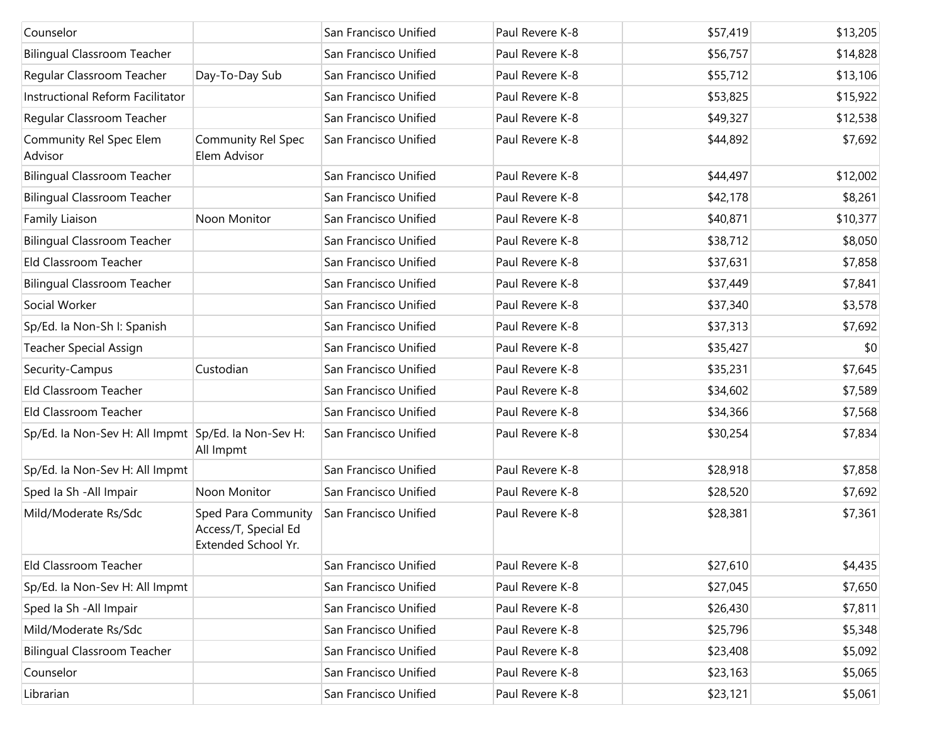| Counselor                                           |                                                                    | San Francisco Unified | Paul Revere K-8 | \$57,419 | \$13,205 |
|-----------------------------------------------------|--------------------------------------------------------------------|-----------------------|-----------------|----------|----------|
| <b>Bilingual Classroom Teacher</b>                  |                                                                    | San Francisco Unified | Paul Revere K-8 | \$56,757 | \$14,828 |
| Regular Classroom Teacher                           | Day-To-Day Sub                                                     | San Francisco Unified | Paul Revere K-8 | \$55,712 | \$13,106 |
| Instructional Reform Facilitator                    |                                                                    | San Francisco Unified | Paul Revere K-8 | \$53,825 | \$15,922 |
| Regular Classroom Teacher                           |                                                                    | San Francisco Unified | Paul Revere K-8 | \$49,327 | \$12,538 |
| Community Rel Spec Elem<br>Advisor                  | <b>Community Rel Spec</b><br>Elem Advisor                          | San Francisco Unified | Paul Revere K-8 | \$44,892 | \$7,692  |
| <b>Bilingual Classroom Teacher</b>                  |                                                                    | San Francisco Unified | Paul Revere K-8 | \$44,497 | \$12,002 |
| <b>Bilingual Classroom Teacher</b>                  |                                                                    | San Francisco Unified | Paul Revere K-8 | \$42,178 | \$8,261  |
| Family Liaison                                      | Noon Monitor                                                       | San Francisco Unified | Paul Revere K-8 | \$40,871 | \$10,377 |
| <b>Bilingual Classroom Teacher</b>                  |                                                                    | San Francisco Unified | Paul Revere K-8 | \$38,712 | \$8,050  |
| Eld Classroom Teacher                               |                                                                    | San Francisco Unified | Paul Revere K-8 | \$37,631 | \$7,858  |
| <b>Bilingual Classroom Teacher</b>                  |                                                                    | San Francisco Unified | Paul Revere K-8 | \$37,449 | \$7,841  |
| Social Worker                                       |                                                                    | San Francisco Unified | Paul Revere K-8 | \$37,340 | \$3,578  |
| Sp/Ed. la Non-Sh I: Spanish                         |                                                                    | San Francisco Unified | Paul Revere K-8 | \$37,313 | \$7,692  |
| <b>Teacher Special Assign</b>                       |                                                                    | San Francisco Unified | Paul Revere K-8 | \$35,427 | \$0      |
| Security-Campus                                     | Custodian                                                          | San Francisco Unified | Paul Revere K-8 | \$35,231 | \$7,645  |
| Eld Classroom Teacher                               |                                                                    | San Francisco Unified | Paul Revere K-8 | \$34,602 | \$7,589  |
| Eld Classroom Teacher                               |                                                                    | San Francisco Unified | Paul Revere K-8 | \$34,366 | \$7,568  |
| Sp/Ed. la Non-Sev H: All Impmt Sp/Ed. la Non-Sev H: | All Impmt                                                          | San Francisco Unified | Paul Revere K-8 | \$30,254 | \$7,834  |
| Sp/Ed. la Non-Sev H: All Impmt                      |                                                                    | San Francisco Unified | Paul Revere K-8 | \$28,918 | \$7,858  |
| Sped Ia Sh - All Impair                             | Noon Monitor                                                       | San Francisco Unified | Paul Revere K-8 | \$28,520 | \$7,692  |
| Mild/Moderate Rs/Sdc                                | Sped Para Community<br>Access/T, Special Ed<br>Extended School Yr. | San Francisco Unified | Paul Revere K-8 | \$28,381 | \$7,361  |
| Eld Classroom Teacher                               |                                                                    | San Francisco Unified | Paul Revere K-8 | \$27,610 | \$4,435  |
| Sp/Ed. la Non-Sev H: All Impmt                      |                                                                    | San Francisco Unified | Paul Revere K-8 | \$27,045 | \$7,650  |
| Sped Ia Sh - All Impair                             |                                                                    | San Francisco Unified | Paul Revere K-8 | \$26,430 | \$7,811  |
| Mild/Moderate Rs/Sdc                                |                                                                    | San Francisco Unified | Paul Revere K-8 | \$25,796 | \$5,348  |
| <b>Bilingual Classroom Teacher</b>                  |                                                                    | San Francisco Unified | Paul Revere K-8 | \$23,408 | \$5,092  |
| Counselor                                           |                                                                    | San Francisco Unified | Paul Revere K-8 | \$23,163 | \$5,065  |
| Librarian                                           |                                                                    | San Francisco Unified | Paul Revere K-8 | \$23,121 | \$5,061  |